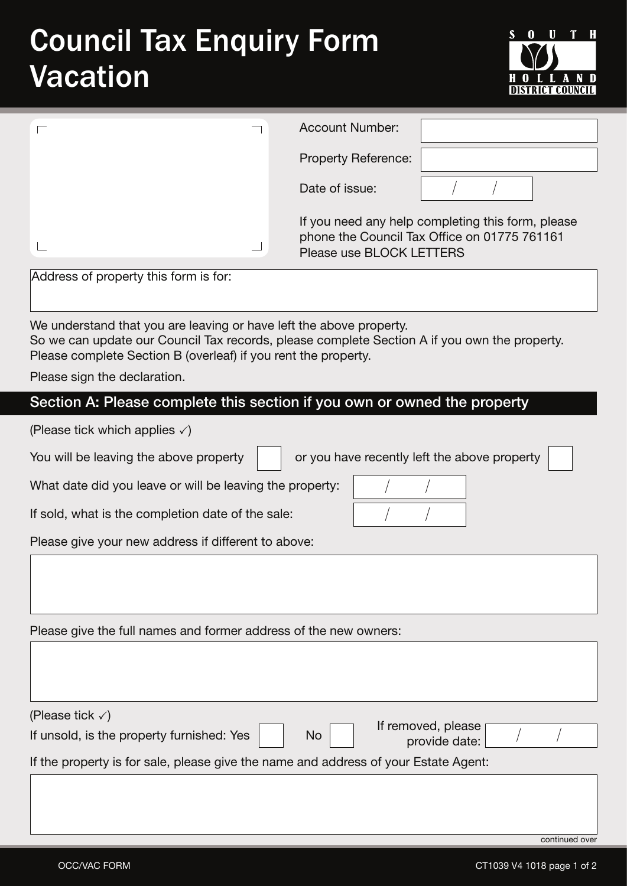## Council Tax Enquiry Form Vacation



|                                       | <b>Account Number:</b>                                                                                                        |
|---------------------------------------|-------------------------------------------------------------------------------------------------------------------------------|
|                                       | Property Reference:                                                                                                           |
|                                       | Date of issue:                                                                                                                |
|                                       | If you need any help completing this form, please<br>phone the Council Tax Office on 01775 761161<br>Please use BLOCK LETTERS |
| Address of property this form is for: |                                                                                                                               |

aress of property this form is for:

We understand that you are leaving or have left the above property. So we can update our Council Tax records, please complete Section A if you own the property. Please complete Section B (overleaf) if you rent the property.

Please sign the declaration.

## **Section A: Please complete this section if you own or owned the property**

(Please tick which applies  $\sqrt{ }$ )

| You will be leaving the above property $\vert$ |
|------------------------------------------------|
|------------------------------------------------|

or you have recently left the above property

 $\frac{1}{2}$ 

 $\frac{1}{2}$ 

 $\frac{1}{2}$ 

What date did you leave or will be leaving the property:

If sold, what is the completion date of the sale:

Please give your new address if different to above:

Please give the full names and former address of the new owners:

(Please tick  $\checkmark$ ) If unsold, is the property furnished: Yes  $\parallel$  No If the property is for sale, please give the name and address of your Estate Agent: If removed, please provide date:

continued over